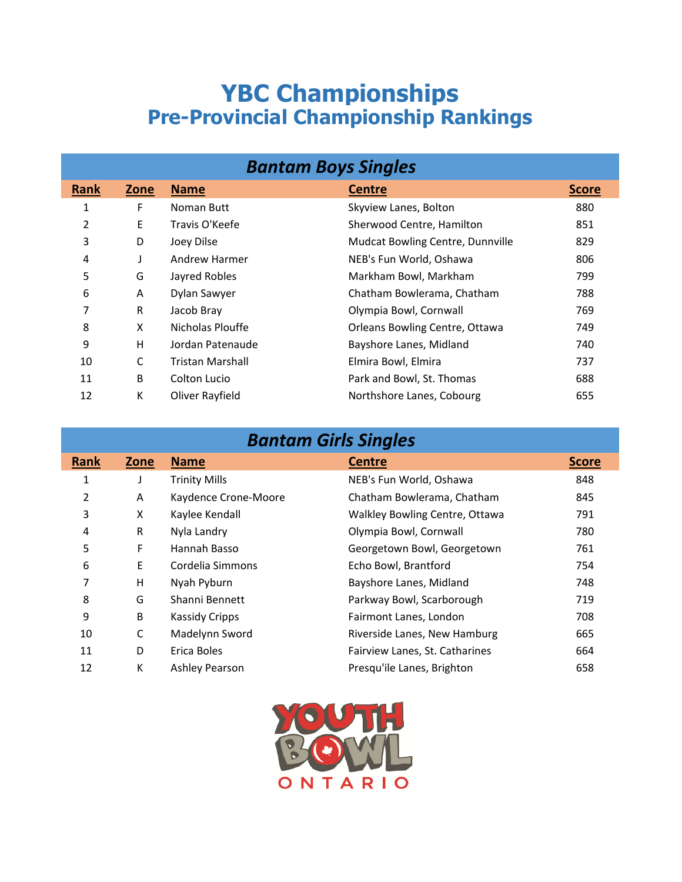## **YBC Championships Pre-Provincial Championship Rankings**

| <b>Bantam Boys Singles</b> |      |                  |                                  |              |
|----------------------------|------|------------------|----------------------------------|--------------|
| Rank                       | Zone | <b>Name</b>      | <b>Centre</b>                    | <b>Score</b> |
| 1                          | F    | Noman Butt       | Skyview Lanes, Bolton            | 880          |
| 2                          | E    | Travis O'Keefe   | Sherwood Centre, Hamilton        | 851          |
| 3                          | D    | Joey Dilse       | Mudcat Bowling Centre, Dunnville | 829          |
| 4                          | J    | Andrew Harmer    | NEB's Fun World, Oshawa          | 806          |
| 5                          | G    | Jayred Robles    | Markham Bowl, Markham            | 799          |
| 6                          | A    | Dylan Sawyer     | Chatham Bowlerama, Chatham       | 788          |
| 7                          | R    | Jacob Bray       | Olympia Bowl, Cornwall           | 769          |
| 8                          | X    | Nicholas Plouffe | Orleans Bowling Centre, Ottawa   | 749          |
| 9                          | Η    | Jordan Patenaude | Bayshore Lanes, Midland          | 740          |
| 10                         | C    | Tristan Marshall | Elmira Bowl, Elmira              | 737          |
| 11                         | B    | Colton Lucio     | Park and Bowl, St. Thomas        | 688          |
| 12                         | К    | Oliver Rayfield  | Northshore Lanes, Cobourg        | 655          |

| <b>Bantam Girls Singles</b> |      |                       |                                |              |
|-----------------------------|------|-----------------------|--------------------------------|--------------|
| Rank                        | Zone | <b>Name</b>           | <b>Centre</b>                  | <b>Score</b> |
| 1                           |      | <b>Trinity Mills</b>  | NEB's Fun World, Oshawa        | 848          |
| 2                           | A    | Kaydence Crone-Moore  | Chatham Bowlerama, Chatham     | 845          |
| 3                           | X    | Kaylee Kendall        | Walkley Bowling Centre, Ottawa | 791          |
| 4                           | R    | Nyla Landry           | Olympia Bowl, Cornwall         | 780          |
| 5                           | F    | Hannah Basso          | Georgetown Bowl, Georgetown    | 761          |
| 6                           | E    | Cordelia Simmons      | Echo Bowl, Brantford           | 754          |
| 7                           | н    | Nyah Pyburn           | Bayshore Lanes, Midland        | 748          |
| 8                           | G    | Shanni Bennett        | Parkway Bowl, Scarborough      | 719          |
| 9                           | B    | <b>Kassidy Cripps</b> | Fairmont Lanes, London         | 708          |
| 10                          | C    | Madelynn Sword        | Riverside Lanes, New Hamburg   | 665          |
| 11                          | D    | Erica Boles           | Fairview Lanes, St. Catharines | 664          |
| 12                          | К    | Ashley Pearson        | Presqu'ile Lanes, Brighton     | 658          |

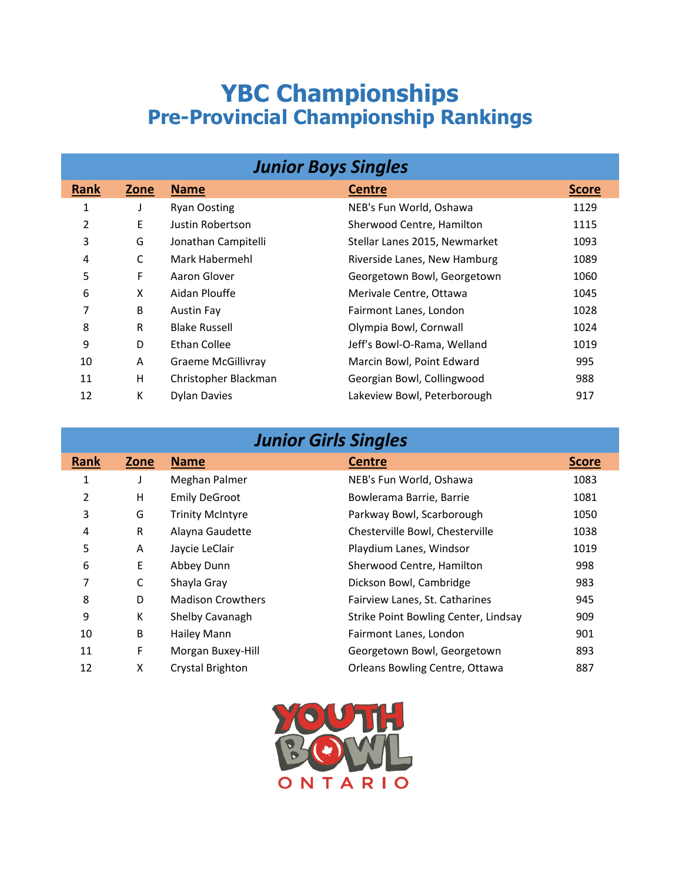## **YBC Championships Pre-Provincial Championship Rankings**

| <b>Junior Boys Singles</b> |      |                           |                               |              |
|----------------------------|------|---------------------------|-------------------------------|--------------|
| <b>Rank</b>                | Zone | <b>Name</b>               | <b>Centre</b>                 | <b>Score</b> |
| 1                          |      | <b>Ryan Oosting</b>       | NEB's Fun World, Oshawa       | 1129         |
| 2                          | E    | Justin Robertson          | Sherwood Centre, Hamilton     | 1115         |
| 3                          | G    | Jonathan Campitelli       | Stellar Lanes 2015, Newmarket | 1093         |
| 4                          | C    | Mark Habermehl            | Riverside Lanes, New Hamburg  | 1089         |
| 5                          | F    | Aaron Glover              | Georgetown Bowl, Georgetown   | 1060         |
| 6                          | X    | Aidan Plouffe             | Merivale Centre, Ottawa       | 1045         |
| 7                          | B    | Austin Fay                | Fairmont Lanes, London        | 1028         |
| 8                          | R    | <b>Blake Russell</b>      | Olympia Bowl, Cornwall        | 1024         |
| 9                          | D    | Ethan Collee              | Jeff's Bowl-O-Rama, Welland   | 1019         |
| 10                         | A    | <b>Graeme McGillivray</b> | Marcin Bowl, Point Edward     | 995          |
| 11                         | Н    | Christopher Blackman      | Georgian Bowl, Collingwood    | 988          |
| 12                         | К    | <b>Dylan Davies</b>       | Lakeview Bowl, Peterborough   | 917          |

| <b>Junior Girls Singles</b> |      |                          |                                      |              |
|-----------------------------|------|--------------------------|--------------------------------------|--------------|
| <b>Rank</b>                 | Zone | <b>Name</b>              | <b>Centre</b>                        | <b>Score</b> |
| 1                           | J    | Meghan Palmer            | NEB's Fun World, Oshawa              | 1083         |
| 2                           | H    | <b>Emily DeGroot</b>     | Bowlerama Barrie, Barrie             | 1081         |
| 3                           | G    | <b>Trinity McIntyre</b>  | Parkway Bowl, Scarborough            | 1050         |
| 4                           | R    | Alayna Gaudette          | Chesterville Bowl, Chesterville      | 1038         |
| 5                           | A    | Jaycie LeClair           | Playdium Lanes, Windsor              | 1019         |
| 6                           | E    | Abbey Dunn               | Sherwood Centre, Hamilton            | 998          |
| 7                           | C    | Shayla Gray              | Dickson Bowl, Cambridge              | 983          |
| 8                           | D    | <b>Madison Crowthers</b> | Fairview Lanes, St. Catharines       | 945          |
| 9                           | К    | Shelby Cavanagh          | Strike Point Bowling Center, Lindsay | 909          |
| 10                          | B    | Hailey Mann              | Fairmont Lanes, London               | 901          |
| 11                          | F    | Morgan Buxey-Hill        | Georgetown Bowl, Georgetown          | 893          |
| 12                          | X    | Crystal Brighton         | Orleans Bowling Centre, Ottawa       | 887          |